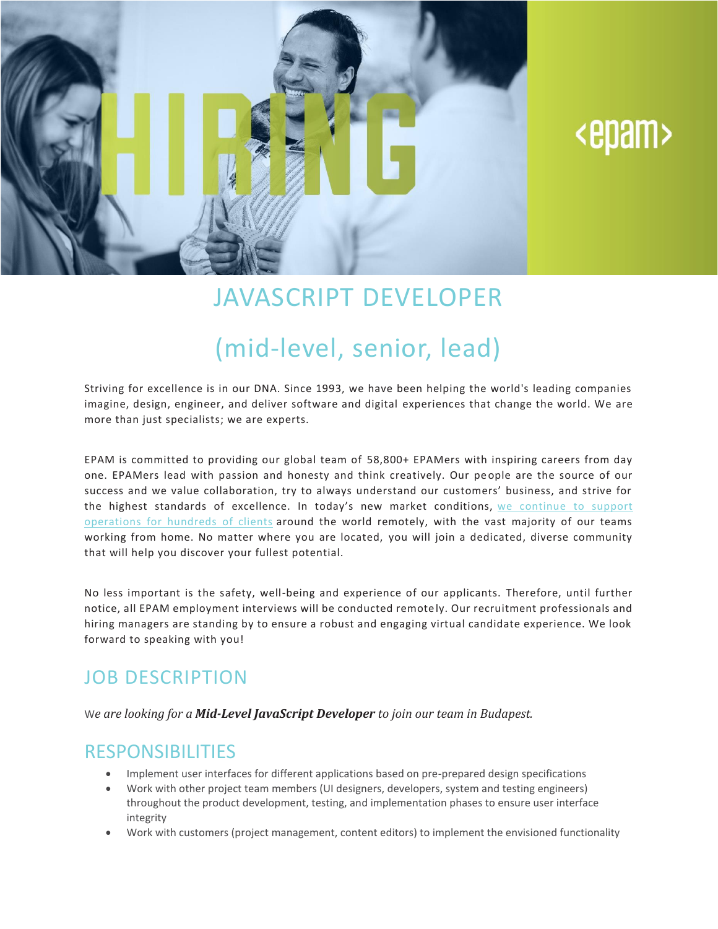

# <epam>

## JAVASCRIPT DEVELOPER

## (mid-level, senior, lead)

Striving for excellence is in our DNA. Since 1993, we have been helping the world's leading companies imagine, design, engineer, and deliver software and digital experiences that change the world. We are more than just specialists; we are experts.

EPAM is committed to providing our global team of 58,800+ EPAMers with inspiring careers from day one. EPAMers lead with passion and honesty and think creatively. Our people are the source of our success and we value collaboration, try to always understand our customers' business, and strive for the highest standards of excellence. In today's new market conditions, we [continue](https://www.epam.com/ceo-update-covid-19) to support [operations](https://www.epam.com/ceo-update-covid-19) for hundreds of clients around the world remotely, with the vast majority of our teams working from home. No matter where you are located, you will join a dedicated, diverse community that will help you discover your fullest potential.

No less important is the safety, well-being and experience of our applicants. Therefore, until further notice, all EPAM employment interviews will be conducted remote ly. Our recruitment professionals and hiring managers are standing by to ensure a robust and engaging virtual candidate experience. We look forward to speaking with you!

#### JOB DESCRIPTION

W*e are looking for a Mid-Level JavaScript Developer to join our team in Budapest.*

#### RESPONSIBILITIES

- Implement user interfaces for different applications based on pre-prepared design specifications
- Work with other project team members (UI designers, developers, system and testing engineers) throughout the product development, testing, and implementation phases to ensure user interface integrity
- Work with customers (project management, content editors) to implement the envisioned functionality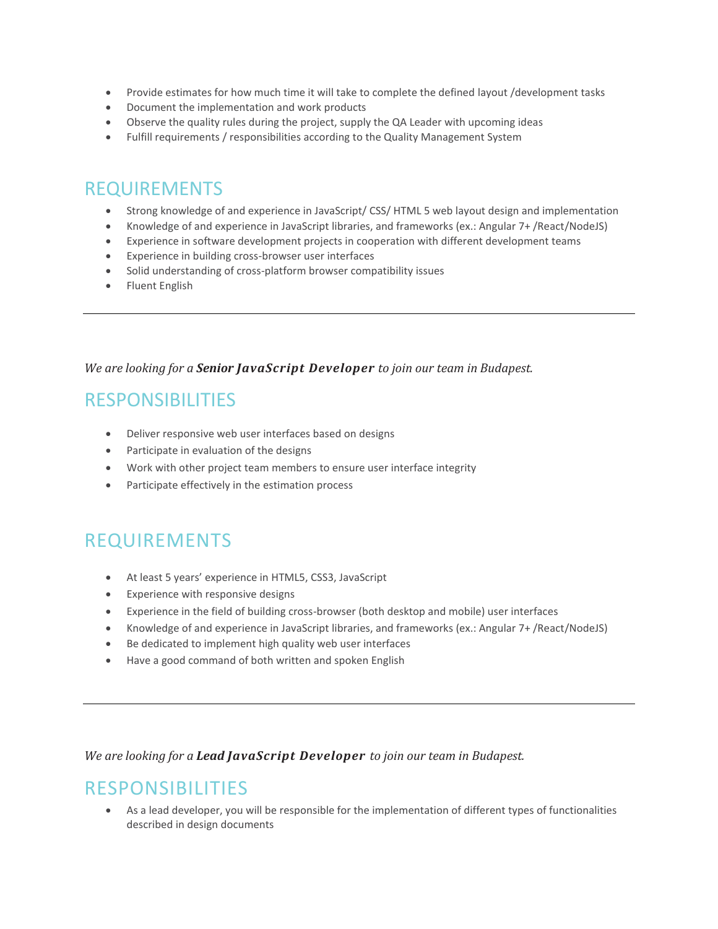- Provide estimates for how much time it will take to complete the defined layout /development tasks
- Document the implementation and work products
- Observe the quality rules during the project, supply the QA Leader with upcoming ideas
- Fulfill requirements / responsibilities according to the Quality Management System

#### REQUIREMENTS

- Strong knowledge of and experience in JavaScript/ CSS/ HTML 5 web layout design and implementation
- Knowledge of and experience in JavaScript libraries, and frameworks (ex.: Angular 7+ /React/NodeJS)
- Experience in software development projects in cooperation with different development teams
- Experience in building cross-browser user interfaces
- Solid understanding of cross-platform browser compatibility issues
- Fluent English

#### *We are looking for a Senior JavaScript Developer to join our team in Budapest.*

#### RESPONSIBILITIES

- Deliver responsive web user interfaces based on designs
- Participate in evaluation of the designs
- Work with other project team members to ensure user interface integrity
- Participate effectively in the estimation process

### REQUIREMENTS

- At least 5 years' experience in HTML5, CSS3, JavaScript
- Experience with responsive designs
- Experience in the field of building cross-browser (both desktop and mobile) user interfaces
- Knowledge of and experience in JavaScript libraries, and frameworks (ex.: Angular 7+ /React/NodeJS)
- Be dedicated to implement high quality web user interfaces
- Have a good command of both written and spoken English

*We are looking for a Lead JavaScript Developer to join our team in Budapest.*

#### RESPONSIBILITIES

• As a lead developer, you will be responsible for the implementation of different types of functionalities described in design documents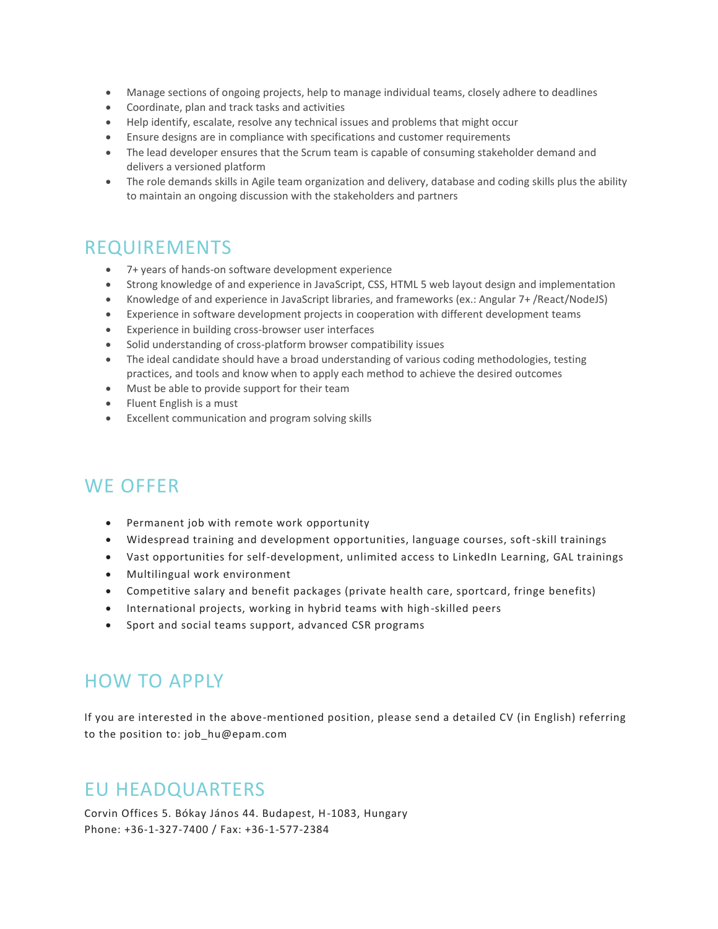- Manage sections of ongoing projects, help to manage individual teams, closely adhere to deadlines
- Coordinate, plan and track tasks and activities
- Help identify, escalate, resolve any technical issues and problems that might occur
- Ensure designs are in compliance with specifications and customer requirements
- The lead developer ensures that the Scrum team is capable of consuming stakeholder demand and delivers a versioned platform
- The role demands skills in Agile team organization and delivery, database and coding skills plus the ability to maintain an ongoing discussion with the stakeholders and partners

#### REQUIREMENTS

- 7+ years of hands-on software development experience
- Strong knowledge of and experience in JavaScript, CSS, HTML 5 web layout design and implementation
- Knowledge of and experience in JavaScript libraries, and frameworks (ex.: Angular 7+ /React/NodeJS)
- Experience in software development projects in cooperation with different development teams
- Experience in building cross-browser user interfaces
- Solid understanding of cross-platform browser compatibility issues
- The ideal candidate should have a broad understanding of various coding methodologies, testing practices, and tools and know when to apply each method to achieve the desired outcomes
- Must be able to provide support for their team
- Fluent English is a must
- Excellent communication and program solving skills

### WE OFFER

- Permanent job with remote work opportunity
- Widespread training and development opportunities, language courses, soft-skill trainings
- Vast opportunities for self-development, unlimited access to LinkedIn Learning, GAL trainings
- Multilingual work environment
- Competitive salary and benefit packages (private health care, sportcard, fringe benefits)
- International projects, working in hybrid teams with high-skilled peers
- Sport and social teams support, advanced CSR programs

#### HOW TO APPLY

If you are interested in the above-mentioned position, please send a detailed CV (in English) referring to the position to: [job\\_hu@epam.com](mailto:job_hu@epam.com)

### EU HEADQUARTERS

[Corvin Offices 5. Bókay János 44. Budapest, H-1083, Hungary](https://www.google.com/maps/place/EPAM+Systems/@47.4861395,19.0740755,17z/data=!4m5!1m2!2m1!1sCorvin+Offices+I.+Fut%C3%B3+street+47-53+Budapest,+H-1082,+Hungary!3m1!1s0x0:0xb467ae21d429e65) Phone: +36-1-327-7400 / Fax: +36-1-577-2384